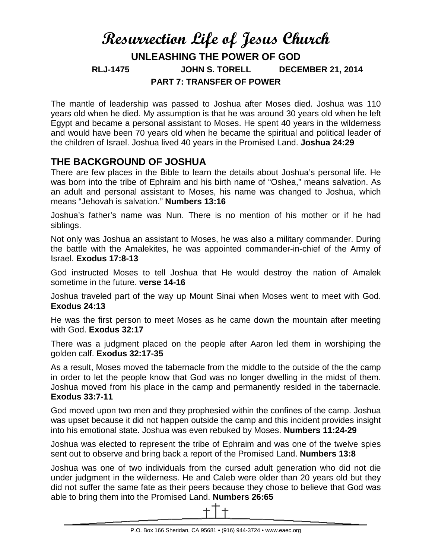# **Resurrection Life of Jesus Church UNLEASHING THE POWER OF GOD RLJ-1475 JOHN S. TORELL DECEMBER 21, 2014 PART 7: TRANSFER OF POWER**

The mantle of leadership was passed to Joshua after Moses died. Joshua was 110 years old when he died. My assumption is that he was around 30 years old when he left Egypt and became a personal assistant to Moses. He spent 40 years in the wilderness and would have been 70 years old when he became the spiritual and political leader of the children of Israel. Joshua lived 40 years in the Promised Land. **Joshua 24:29**

## **THE BACKGROUND OF JOSHUA**

There are few places in the Bible to learn the details about Joshua's personal life. He was born into the tribe of Ephraim and his birth name of "Oshea," means salvation. As an adult and personal assistant to Moses, his name was changed to Joshua, which means "Jehovah is salvation." **Numbers 13:16**

Joshua's father's name was Nun. There is no mention of his mother or if he had siblings.

Not only was Joshua an assistant to Moses, he was also a military commander. During the battle with the Amalekites, he was appointed commander-in-chief of the Army of Israel. **Exodus 17:8-13**

God instructed Moses to tell Joshua that He would destroy the nation of Amalek sometime in the future. **verse 14-16**

Joshua traveled part of the way up Mount Sinai when Moses went to meet with God. **Exodus 24:13**

He was the first person to meet Moses as he came down the mountain after meeting with God. **Exodus 32:17**

There was a judgment placed on the people after Aaron led them in worshiping the golden calf. **Exodus 32:17-35**

As a result, Moses moved the tabernacle from the middle to the outside of the the camp in order to let the people know that God was no longer dwelling in the midst of them. Joshua moved from his place in the camp and permanently resided in the tabernacle. **Exodus 33:7-11**

God moved upon two men and they prophesied within the confines of the camp. Joshua was upset because it did not happen outside the camp and this incident provides insight into his emotional state. Joshua was even rebuked by Moses. **Numbers 11:24-29**

Joshua was elected to represent the tribe of Ephraim and was one of the twelve spies sent out to observe and bring back a report of the Promised Land. **Numbers 13:8**

Joshua was one of two individuals from the cursed adult generation who did not die under judgment in the wilderness. He and Caleb were older than 20 years old but they did not suffer the same fate as their peers because they chose to believe that God was able to bring them into the Promised Land. **Numbers 26:65**